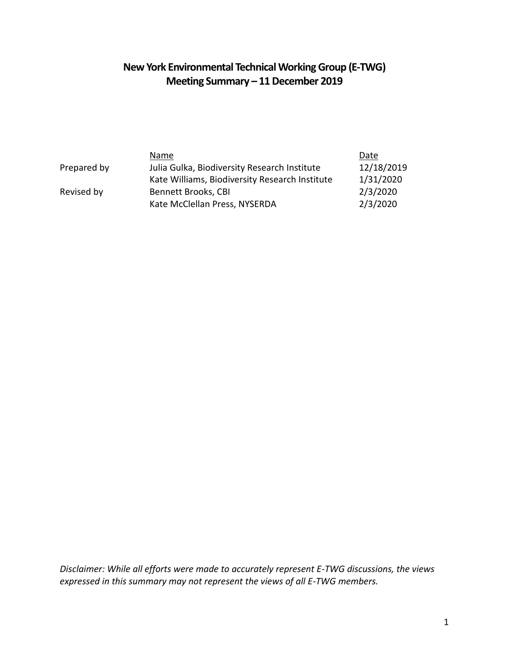# **New York Environmental Technical Working Group (E-TWG) Meeting Summary – 11 December 2019**

|             | Name                                           | Date       |
|-------------|------------------------------------------------|------------|
| Prepared by | Julia Gulka, Biodiversity Research Institute   | 12/18/2019 |
|             | Kate Williams, Biodiversity Research Institute | 1/31/2020  |
| Revised by  | Bennett Brooks, CBI                            | 2/3/2020   |
|             | Kate McClellan Press, NYSERDA                  | 2/3/2020   |

*Disclaimer: While all efforts were made to accurately represent E-TWG discussions, the views expressed in this summary may not represent the views of all E-TWG members.*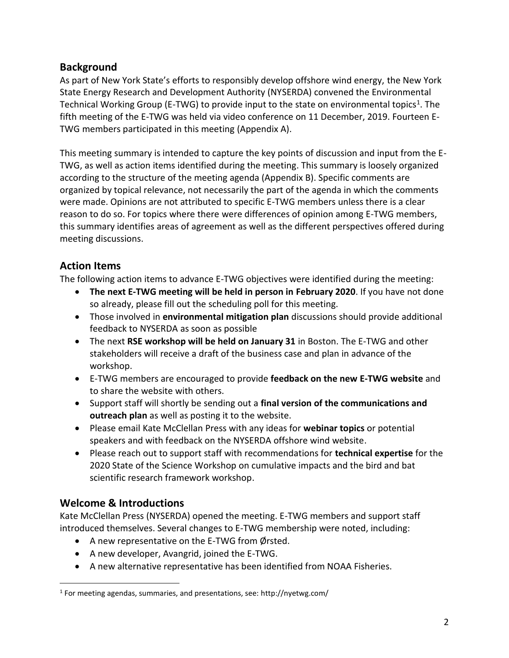# **Background**

As part of New York State's efforts to responsibly develop offshore wind energy, the New York State Energy Research and Development Authority (NYSERDA) convened the Environmental Technical Working Group (E-TWG) to provide input to the state on environmental topics<sup>1</sup>. The fifth meeting of the E-TWG was held via video conference on 11 December, 2019. Fourteen E-TWG members participated in this meeting (Appendix A).

This meeting summary is intended to capture the key points of discussion and input from the E-TWG, as well as action items identified during the meeting. This summary is loosely organized according to the structure of the meeting agenda (Appendix B). Specific comments are organized by topical relevance, not necessarily the part of the agenda in which the comments were made. Opinions are not attributed to specific E-TWG members unless there is a clear reason to do so. For topics where there were differences of opinion among E-TWG members, this summary identifies areas of agreement as well as the different perspectives offered during meeting discussions.

# **Action Items**

The following action items to advance E-TWG objectives were identified during the meeting:

- **The next E-TWG meeting will be held in person in February 2020**. If you have not done so already, please fill out the scheduling poll for this meeting.
- Those involved in **environmental mitigation plan** discussions should provide additional feedback to NYSERDA as soon as possible
- The next **RSE workshop will be held on January 31** in Boston. The E-TWG and other stakeholders will receive a draft of the business case and plan in advance of the workshop.
- E-TWG members are encouraged to provide **feedback on the new E-TWG website** and to share the website with others.
- Support staff will shortly be sending out a **final version of the communications and outreach plan** as well as posting it to the website.
- Please email Kate McClellan Press with any ideas for **webinar topics** or potential speakers and with feedback on the NYSERDA offshore wind website.
- Please reach out to support staff with recommendations for **technical expertise** for the 2020 State of the Science Workshop on cumulative impacts and the bird and bat scientific research framework workshop.

# **Welcome & Introductions**

 $\overline{a}$ 

Kate McClellan Press (NYSERDA) opened the meeting. E-TWG members and support staff introduced themselves. Several changes to E-TWG membership were noted, including:

- A new representative on the E-TWG from Ørsted.
- A new developer, Avangrid, joined the E-TWG.
- A new alternative representative has been identified from NOAA Fisheries.

<sup>&</sup>lt;sup>1</sup> For meeting agendas, summaries, and presentations, see: http://nyetwg.com/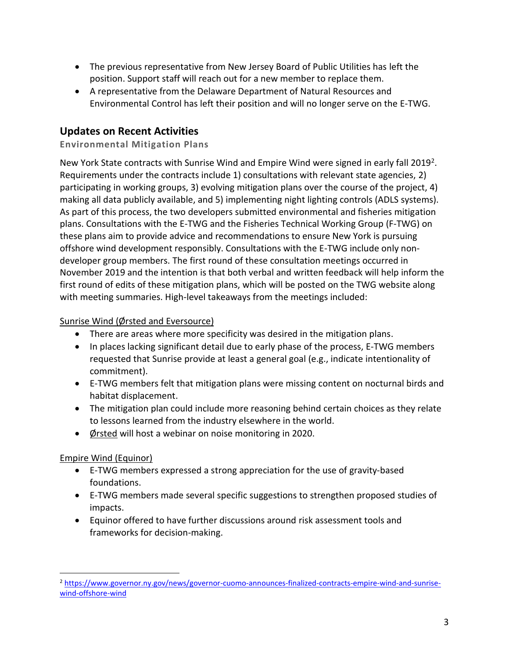- The previous representative from New Jersey Board of Public Utilities has left the position. Support staff will reach out for a new member to replace them.
- A representative from the Delaware Department of Natural Resources and Environmental Control has left their position and will no longer serve on the E-TWG.

# **Updates on Recent Activities**

# **Environmental Mitigation Plans**

New York State contracts with Sunrise Wind and Empire Wind were signed in early fall 2019<sup>2</sup>. Requirements under the contracts include 1) consultations with relevant state agencies, 2) participating in working groups, 3) evolving mitigation plans over the course of the project, 4) making all data publicly available, and 5) implementing night lighting controls (ADLS systems). As part of this process, the two developers submitted environmental and fisheries mitigation plans. Consultations with the E-TWG and the Fisheries Technical Working Group (F-TWG) on these plans aim to provide advice and recommendations to ensure New York is pursuing offshore wind development responsibly. Consultations with the E-TWG include only nondeveloper group members. The first round of these consultation meetings occurred in November 2019 and the intention is that both verbal and written feedback will help inform the first round of edits of these mitigation plans, which will be posted on the TWG website along with meeting summaries. High-level takeaways from the meetings included:

## Sunrise Wind (Ørsted and Eversource)

- There are areas where more specificity was desired in the mitigation plans.
- In places lacking significant detail due to early phase of the process, E-TWG members requested that Sunrise provide at least a general goal (e.g., indicate intentionality of commitment).
- E-TWG members felt that mitigation plans were missing content on nocturnal birds and habitat displacement.
- The mitigation plan could include more reasoning behind certain choices as they relate to lessons learned from the industry elsewhere in the world.
- Ørsted will host a webinar on noise monitoring in 2020.

# Empire Wind (Equinor)

 $\overline{a}$ 

- E-TWG members expressed a strong appreciation for the use of gravity-based foundations.
- E-TWG members made several specific suggestions to strengthen proposed studies of impacts.
- Equinor offered to have further discussions around risk assessment tools and frameworks for decision-making.

<sup>2</sup> [https://www.governor.ny.gov/news/governor-cuomo-announces-finalized-contracts-empire-wind-and-sunrise](https://www.governor.ny.gov/news/governor-cuomo-announces-finalized-contracts-empire-wind-and-sunrise-wind-offshore-wind)[wind-offshore-wind](https://www.governor.ny.gov/news/governor-cuomo-announces-finalized-contracts-empire-wind-and-sunrise-wind-offshore-wind)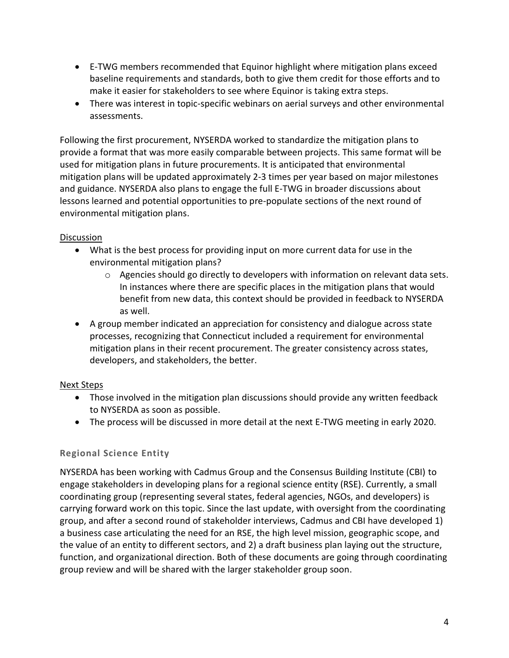- E-TWG members recommended that Equinor highlight where mitigation plans exceed baseline requirements and standards, both to give them credit for those efforts and to make it easier for stakeholders to see where Equinor is taking extra steps.
- There was interest in topic-specific webinars on aerial surveys and other environmental assessments.

Following the first procurement, NYSERDA worked to standardize the mitigation plans to provide a format that was more easily comparable between projects. This same format will be used for mitigation plans in future procurements. It is anticipated that environmental mitigation plans will be updated approximately 2-3 times per year based on major milestones and guidance. NYSERDA also plans to engage the full E-TWG in broader discussions about lessons learned and potential opportunities to pre-populate sections of the next round of environmental mitigation plans.

#### Discussion

- What is the best process for providing input on more current data for use in the environmental mitigation plans?
	- $\circ$  Agencies should go directly to developers with information on relevant data sets. In instances where there are specific places in the mitigation plans that would benefit from new data, this context should be provided in feedback to NYSERDA as well.
- A group member indicated an appreciation for consistency and dialogue across state processes, recognizing that Connecticut included a requirement for environmental mitigation plans in their recent procurement. The greater consistency across states, developers, and stakeholders, the better.

#### Next Steps

- Those involved in the mitigation plan discussions should provide any written feedback to NYSERDA as soon as possible.
- The process will be discussed in more detail at the next E-TWG meeting in early 2020.

#### **Regional Science Entity**

NYSERDA has been working with Cadmus Group and the Consensus Building Institute (CBI) to engage stakeholders in developing plans for a regional science entity (RSE). Currently, a small coordinating group (representing several states, federal agencies, NGOs, and developers) is carrying forward work on this topic. Since the last update, with oversight from the coordinating group, and after a second round of stakeholder interviews, Cadmus and CBI have developed 1) a business case articulating the need for an RSE, the high level mission, geographic scope, and the value of an entity to different sectors, and 2) a draft business plan laying out the structure, function, and organizational direction. Both of these documents are going through coordinating group review and will be shared with the larger stakeholder group soon.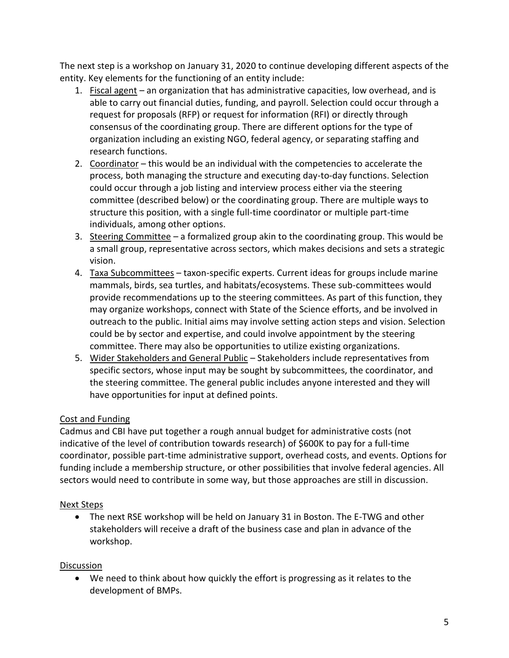The next step is a workshop on January 31, 2020 to continue developing different aspects of the entity. Key elements for the functioning of an entity include:

- 1. Fiscal agent an organization that has administrative capacities, low overhead, and is able to carry out financial duties, funding, and payroll. Selection could occur through a request for proposals (RFP) or request for information (RFI) or directly through consensus of the coordinating group. There are different options for the type of organization including an existing NGO, federal agency, or separating staffing and research functions.
- 2. Coordinator this would be an individual with the competencies to accelerate the process, both managing the structure and executing day-to-day functions. Selection could occur through a job listing and interview process either via the steering committee (described below) or the coordinating group. There are multiple ways to structure this position, with a single full-time coordinator or multiple part-time individuals, among other options.
- 3. Steering Committee a formalized group akin to the coordinating group. This would be a small group, representative across sectors, which makes decisions and sets a strategic vision.
- 4. Taxa Subcommittees taxon-specific experts. Current ideas for groups include marine mammals, birds, sea turtles, and habitats/ecosystems. These sub-committees would provide recommendations up to the steering committees. As part of this function, they may organize workshops, connect with State of the Science efforts, and be involved in outreach to the public. Initial aims may involve setting action steps and vision. Selection could be by sector and expertise, and could involve appointment by the steering committee. There may also be opportunities to utilize existing organizations.
- 5. Wider Stakeholders and General Public Stakeholders include representatives from specific sectors, whose input may be sought by subcommittees, the coordinator, and the steering committee. The general public includes anyone interested and they will have opportunities for input at defined points.

# Cost and Funding

Cadmus and CBI have put together a rough annual budget for administrative costs (not indicative of the level of contribution towards research) of \$600K to pay for a full-time coordinator, possible part-time administrative support, overhead costs, and events. Options for funding include a membership structure, or other possibilities that involve federal agencies. All sectors would need to contribute in some way, but those approaches are still in discussion.

# Next Steps

• The next RSE workshop will be held on January 31 in Boston. The E-TWG and other stakeholders will receive a draft of the business case and plan in advance of the workshop.

# **Discussion**

• We need to think about how quickly the effort is progressing as it relates to the development of BMPs.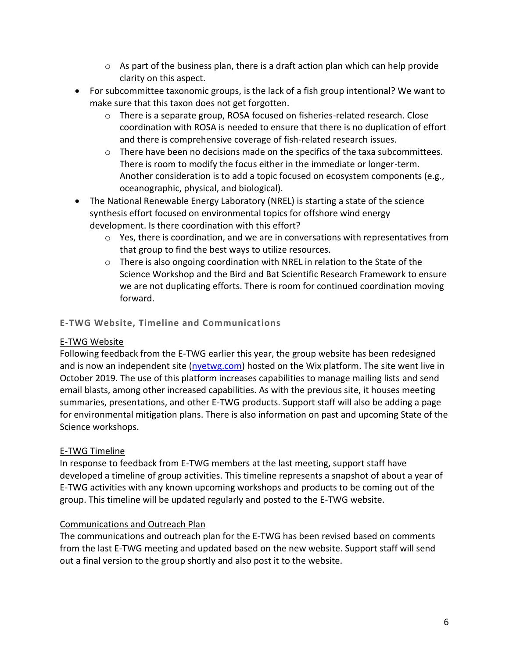- $\circ$  As part of the business plan, there is a draft action plan which can help provide clarity on this aspect.
- For subcommittee taxonomic groups, is the lack of a fish group intentional? We want to make sure that this taxon does not get forgotten.
	- $\circ$  There is a separate group, ROSA focused on fisheries-related research. Close coordination with ROSA is needed to ensure that there is no duplication of effort and there is comprehensive coverage of fish-related research issues.
	- $\circ$  There have been no decisions made on the specifics of the taxa subcommittees. There is room to modify the focus either in the immediate or longer-term. Another consideration is to add a topic focused on ecosystem components (e.g., oceanographic, physical, and biological).
- The National Renewable Energy Laboratory (NREL) is starting a state of the science synthesis effort focused on environmental topics for offshore wind energy development. Is there coordination with this effort?
	- o Yes, there is coordination, and we are in conversations with representatives from that group to find the best ways to utilize resources.
	- $\circ$  There is also ongoing coordination with NREL in relation to the State of the Science Workshop and the Bird and Bat Scientific Research Framework to ensure we are not duplicating efforts. There is room for continued coordination moving forward.

## **E-TWG Website, Timeline and Communications**

# E-TWG Website

Following feedback from the E-TWG earlier this year, the group website has been redesigned and is now an independent site [\(nyetwg.com\)](http://nyetwg.com/) hosted on the Wix platform. The site went live in October 2019. The use of this platform increases capabilities to manage mailing lists and send email blasts, among other increased capabilities. As with the previous site, it houses meeting summaries, presentations, and other E-TWG products. Support staff will also be adding a page for environmental mitigation plans. There is also information on past and upcoming State of the Science workshops.

# E-TWG Timeline

In response to feedback from E-TWG members at the last meeting, support staff have developed a timeline of group activities. This timeline represents a snapshot of about a year of E-TWG activities with any known upcoming workshops and products to be coming out of the group. This timeline will be updated regularly and posted to the E-TWG website.

#### Communications and Outreach Plan

The communications and outreach plan for the E-TWG has been revised based on comments from the last E-TWG meeting and updated based on the new website. Support staff will send out a final version to the group shortly and also post it to the website.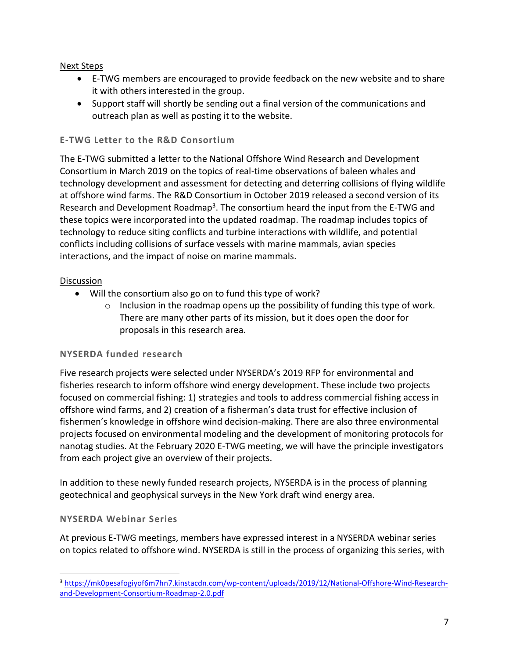Next Steps

- E-TWG members are encouraged to provide feedback on the new website and to share it with others interested in the group.
- Support staff will shortly be sending out a final version of the communications and outreach plan as well as posting it to the website.

#### **E-TWG Letter to the R&D Consortium**

The E-TWG submitted a letter to the National Offshore Wind Research and Development Consortium in March 2019 on the topics of real-time observations of baleen whales and technology development and assessment for detecting and deterring collisions of flying wildlife at offshore wind farms. The R&D Consortium in October 2019 released a second version of its Research and Development Roadmap<sup>3</sup>. The consortium heard the input from the E-TWG and these topics were incorporated into the updated roadmap. The roadmap includes topics of technology to reduce siting conflicts and turbine interactions with wildlife, and potential conflicts including collisions of surface vessels with marine mammals, avian species interactions, and the impact of noise on marine mammals.

#### Discussion

- Will the consortium also go on to fund this type of work?
	- o Inclusion in the roadmap opens up the possibility of funding this type of work. There are many other parts of its mission, but it does open the door for proposals in this research area.

# **NYSERDA funded research**

Five research projects were selected under NYSERDA's 2019 RFP for environmental and fisheries research to inform offshore wind energy development. These include two projects focused on commercial fishing: 1) strategies and tools to address commercial fishing access in offshore wind farms, and 2) creation of a fisherman's data trust for effective inclusion of fishermen's knowledge in offshore wind decision-making. There are also three environmental projects focused on environmental modeling and the development of monitoring protocols for nanotag studies. At the February 2020 E-TWG meeting, we will have the principle investigators from each project give an overview of their projects.

In addition to these newly funded research projects, NYSERDA is in the process of planning geotechnical and geophysical surveys in the New York draft wind energy area.

#### **NYSERDA Webinar Series**

 $\overline{a}$ 

At previous E-TWG meetings, members have expressed interest in a NYSERDA webinar series on topics related to offshore wind. NYSERDA is still in the process of organizing this series, with

<sup>3</sup> [https://mk0pesafogiyof6m7hn7.kinstacdn.com/wp-content/uploads/2019/12/National-Offshore-Wind-Research](https://mk0pesafogiyof6m7hn7.kinstacdn.com/wp-content/uploads/2019/12/National-Offshore-Wind-Research-and-Development-Consortium-Roadmap-2.0.pdf)[and-Development-Consortium-Roadmap-2.0.pdf](https://mk0pesafogiyof6m7hn7.kinstacdn.com/wp-content/uploads/2019/12/National-Offshore-Wind-Research-and-Development-Consortium-Roadmap-2.0.pdf)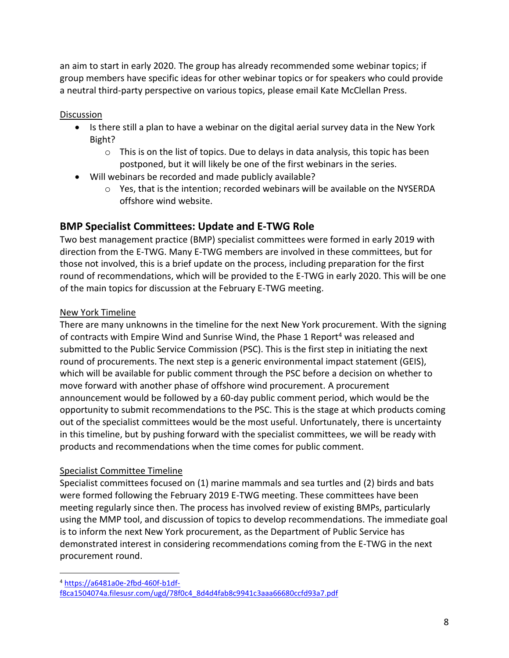an aim to start in early 2020. The group has already recommended some webinar topics; if group members have specific ideas for other webinar topics or for speakers who could provide a neutral third-party perspective on various topics, please email Kate McClellan Press.

**Discussion** 

- Is there still a plan to have a webinar on the digital aerial survey data in the New York Bight?
	- $\circ$  This is on the list of topics. Due to delays in data analysis, this topic has been postponed, but it will likely be one of the first webinars in the series.
- Will webinars be recorded and made publicly available?
	- o Yes, that is the intention; recorded webinars will be available on the NYSERDA offshore wind website.

# **BMP Specialist Committees: Update and E-TWG Role**

Two best management practice (BMP) specialist committees were formed in early 2019 with direction from the E-TWG. Many E-TWG members are involved in these committees, but for those not involved, this is a brief update on the process, including preparation for the first round of recommendations, which will be provided to the E-TWG in early 2020. This will be one of the main topics for discussion at the February E-TWG meeting.

# New York Timeline

There are many unknowns in the timeline for the next New York procurement. With the signing of contracts with Empire Wind and Sunrise Wind, the Phase 1 Report<sup>4</sup> was released and submitted to the Public Service Commission (PSC). This is the first step in initiating the next round of procurements. The next step is a generic environmental impact statement (GEIS), which will be available for public comment through the PSC before a decision on whether to move forward with another phase of offshore wind procurement. A procurement announcement would be followed by a 60-day public comment period, which would be the opportunity to submit recommendations to the PSC. This is the stage at which products coming out of the specialist committees would be the most useful. Unfortunately, there is uncertainty in this timeline, but by pushing forward with the specialist committees, we will be ready with products and recommendations when the time comes for public comment.

# Specialist Committee Timeline

Specialist committees focused on (1) marine mammals and sea turtles and (2) birds and bats were formed following the February 2019 E-TWG meeting. These committees have been meeting regularly since then. The process has involved review of existing BMPs, particularly using the MMP tool, and discussion of topics to develop recommendations. The immediate goal is to inform the next New York procurement, as the Department of Public Service has demonstrated interest in considering recommendations coming from the E-TWG in the next procurement round.

 $\overline{a}$ <sup>4</sup> [https://a6481a0e-2fbd-460f-b1df-](https://a6481a0e-2fbd-460f-b1df-f8ca1504074a.filesusr.com/ugd/78f0c4_8d4d4fab8c9941c3aaa66680ccfd93a7.pdf)

[f8ca1504074a.filesusr.com/ugd/78f0c4\\_8d4d4fab8c9941c3aaa66680ccfd93a7.pdf](https://a6481a0e-2fbd-460f-b1df-f8ca1504074a.filesusr.com/ugd/78f0c4_8d4d4fab8c9941c3aaa66680ccfd93a7.pdf)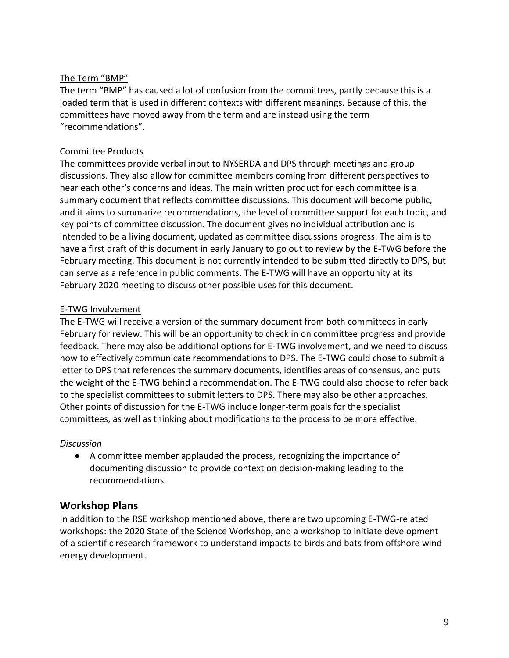#### The Term "BMP"

The term "BMP" has caused a lot of confusion from the committees, partly because this is a loaded term that is used in different contexts with different meanings. Because of this, the committees have moved away from the term and are instead using the term "recommendations".

#### Committee Products

The committees provide verbal input to NYSERDA and DPS through meetings and group discussions. They also allow for committee members coming from different perspectives to hear each other's concerns and ideas. The main written product for each committee is a summary document that reflects committee discussions. This document will become public, and it aims to summarize recommendations, the level of committee support for each topic, and key points of committee discussion. The document gives no individual attribution and is intended to be a living document, updated as committee discussions progress. The aim is to have a first draft of this document in early January to go out to review by the E-TWG before the February meeting. This document is not currently intended to be submitted directly to DPS, but can serve as a reference in public comments. The E-TWG will have an opportunity at its February 2020 meeting to discuss other possible uses for this document.

## E-TWG Involvement

The E-TWG will receive a version of the summary document from both committees in early February for review. This will be an opportunity to check in on committee progress and provide feedback. There may also be additional options for E-TWG involvement, and we need to discuss how to effectively communicate recommendations to DPS. The E-TWG could chose to submit a letter to DPS that references the summary documents, identifies areas of consensus, and puts the weight of the E-TWG behind a recommendation. The E-TWG could also choose to refer back to the specialist committees to submit letters to DPS. There may also be other approaches. Other points of discussion for the E-TWG include longer-term goals for the specialist committees, as well as thinking about modifications to the process to be more effective.

#### *Discussion*

• A committee member applauded the process, recognizing the importance of documenting discussion to provide context on decision-making leading to the recommendations.

# **Workshop Plans**

In addition to the RSE workshop mentioned above, there are two upcoming E-TWG-related workshops: the 2020 State of the Science Workshop, and a workshop to initiate development of a scientific research framework to understand impacts to birds and bats from offshore wind energy development.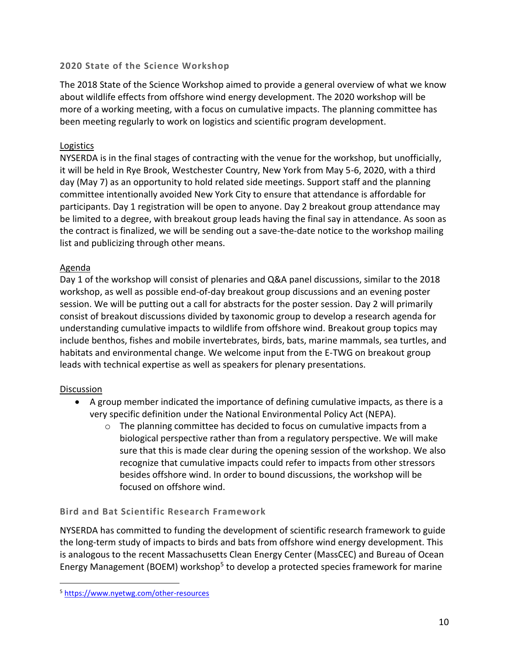#### **2020 State of the Science Workshop**

The 2018 State of the Science Workshop aimed to provide a general overview of what we know about wildlife effects from offshore wind energy development. The 2020 workshop will be more of a working meeting, with a focus on cumulative impacts. The planning committee has been meeting regularly to work on logistics and scientific program development.

#### **Logistics**

NYSERDA is in the final stages of contracting with the venue for the workshop, but unofficially, it will be held in Rye Brook, Westchester Country, New York from May 5-6, 2020, with a third day (May 7) as an opportunity to hold related side meetings. Support staff and the planning committee intentionally avoided New York City to ensure that attendance is affordable for participants. Day 1 registration will be open to anyone. Day 2 breakout group attendance may be limited to a degree, with breakout group leads having the final say in attendance. As soon as the contract is finalized, we will be sending out a save-the-date notice to the workshop mailing list and publicizing through other means.

## Agenda

Day 1 of the workshop will consist of plenaries and Q&A panel discussions, similar to the 2018 workshop, as well as possible end-of-day breakout group discussions and an evening poster session. We will be putting out a call for abstracts for the poster session. Day 2 will primarily consist of breakout discussions divided by taxonomic group to develop a research agenda for understanding cumulative impacts to wildlife from offshore wind. Breakout group topics may include benthos, fishes and mobile invertebrates, birds, bats, marine mammals, sea turtles, and habitats and environmental change. We welcome input from the E-TWG on breakout group leads with technical expertise as well as speakers for plenary presentations.

#### **Discussion**

 $\overline{a}$ 

- A group member indicated the importance of defining cumulative impacts, as there is a very specific definition under the National Environmental Policy Act (NEPA).
	- $\circ$  The planning committee has decided to focus on cumulative impacts from a biological perspective rather than from a regulatory perspective. We will make sure that this is made clear during the opening session of the workshop. We also recognize that cumulative impacts could refer to impacts from other stressors besides offshore wind. In order to bound discussions, the workshop will be focused on offshore wind.

# **Bird and Bat Scientific Research Framework**

NYSERDA has committed to funding the development of scientific research framework to guide the long-term study of impacts to birds and bats from offshore wind energy development. This is analogous to the recent Massachusetts Clean Energy Center (MassCEC) and Bureau of Ocean Energy Management (BOEM) workshop<sup>5</sup> to develop a protected species framework for marine

<sup>5</sup> <https://www.nyetwg.com/other-resources>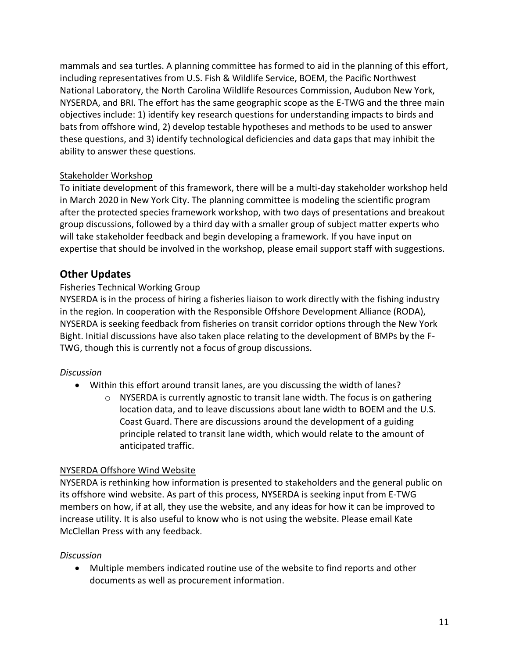mammals and sea turtles. A planning committee has formed to aid in the planning of this effort, including representatives from U.S. Fish & Wildlife Service, BOEM, the Pacific Northwest National Laboratory, the North Carolina Wildlife Resources Commission, Audubon New York, NYSERDA, and BRI. The effort has the same geographic scope as the E-TWG and the three main objectives include: 1) identify key research questions for understanding impacts to birds and bats from offshore wind, 2) develop testable hypotheses and methods to be used to answer these questions, and 3) identify technological deficiencies and data gaps that may inhibit the ability to answer these questions.

## Stakeholder Workshop

To initiate development of this framework, there will be a multi-day stakeholder workshop held in March 2020 in New York City. The planning committee is modeling the scientific program after the protected species framework workshop, with two days of presentations and breakout group discussions, followed by a third day with a smaller group of subject matter experts who will take stakeholder feedback and begin developing a framework. If you have input on expertise that should be involved in the workshop, please email support staff with suggestions.

## **Other Updates**

#### Fisheries Technical Working Group

NYSERDA is in the process of hiring a fisheries liaison to work directly with the fishing industry in the region. In cooperation with the Responsible Offshore Development Alliance (RODA), NYSERDA is seeking feedback from fisheries on transit corridor options through the New York Bight. Initial discussions have also taken place relating to the development of BMPs by the F-TWG, though this is currently not a focus of group discussions.

#### *Discussion*

- Within this effort around transit lanes, are you discussing the width of lanes?
	- o NYSERDA is currently agnostic to transit lane width. The focus is on gathering location data, and to leave discussions about lane width to BOEM and the U.S. Coast Guard. There are discussions around the development of a guiding principle related to transit lane width, which would relate to the amount of anticipated traffic.

#### NYSERDA Offshore Wind Website

NYSERDA is rethinking how information is presented to stakeholders and the general public on its offshore wind website. As part of this process, NYSERDA is seeking input from E-TWG members on how, if at all, they use the website, and any ideas for how it can be improved to increase utility. It is also useful to know who is not using the website. Please email Kate McClellan Press with any feedback.

#### *Discussion*

• Multiple members indicated routine use of the website to find reports and other documents as well as procurement information.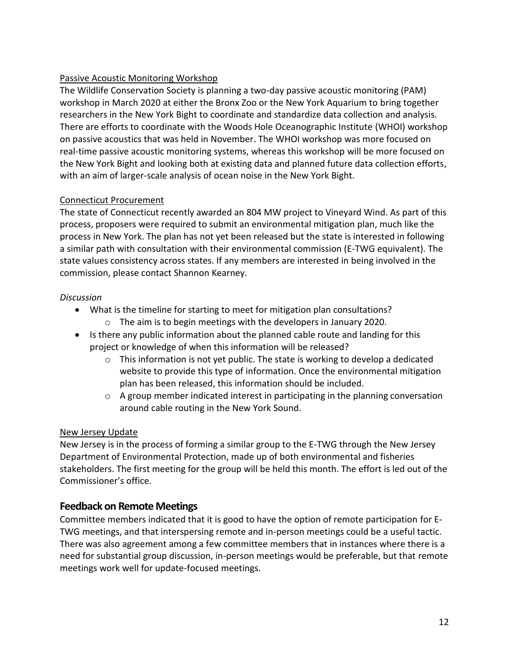## Passive Acoustic Monitoring Workshop

The Wildlife Conservation Society is planning a two-day passive acoustic monitoring (PAM) workshop in March 2020 at either the Bronx Zoo or the New York Aquarium to bring together researchers in the New York Bight to coordinate and standardize data collection and analysis. There are efforts to coordinate with the Woods Hole Oceanographic Institute (WHOI) workshop on passive acoustics that was held in November. The WHOI workshop was more focused on real-time passive acoustic monitoring systems, whereas this workshop will be more focused on the New York Bight and looking both at existing data and planned future data collection efforts, with an aim of larger-scale analysis of ocean noise in the New York Bight.

## Connecticut Procurement

The state of Connecticut recently awarded an 804 MW project to Vineyard Wind. As part of this process, proposers were required to submit an environmental mitigation plan, much like the process in New York. The plan has not yet been released but the state is interested in following a similar path with consultation with their environmental commission (E-TWG equivalent). The state values consistency across states. If any members are interested in being involved in the commission, please contact Shannon Kearney.

## *Discussion*

- What is the timeline for starting to meet for mitigation plan consultations?
	- o The aim is to begin meetings with the developers in January 2020.
- Is there any public information about the planned cable route and landing for this project or knowledge of when this information will be released?
	- $\circ$  This information is not yet public. The state is working to develop a dedicated website to provide this type of information. Once the environmental mitigation plan has been released, this information should be included.
	- $\circ$  A group member indicated interest in participating in the planning conversation around cable routing in the New York Sound.

#### New Jersey Update

New Jersey is in the process of forming a similar group to the E-TWG through the New Jersey Department of Environmental Protection, made up of both environmental and fisheries stakeholders. The first meeting for the group will be held this month. The effort is led out of the Commissioner's office.

# **Feedback on Remote Meetings**

Committee members indicated that it is good to have the option of remote participation for E-TWG meetings, and that interspersing remote and in-person meetings could be a useful tactic. There was also agreement among a few committee members that in instances where there is a need for substantial group discussion, in-person meetings would be preferable, but that remote meetings work well for update-focused meetings.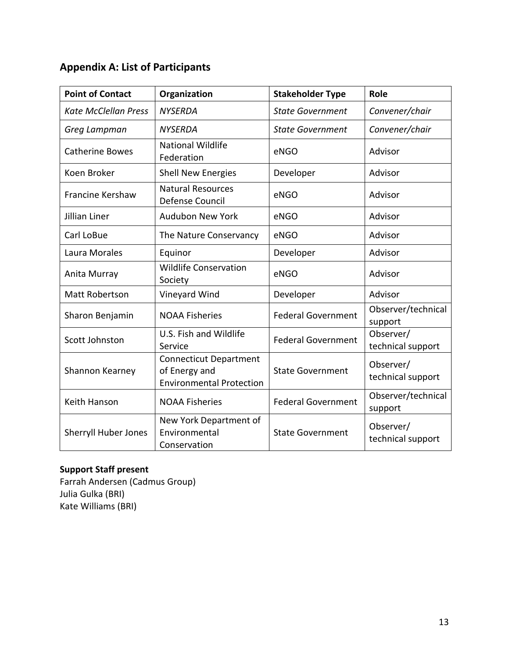# **Appendix A: List of Participants**

| <b>Point of Contact</b>     | Organization                                                                      | <b>Stakeholder Type</b>   | Role                           |
|-----------------------------|-----------------------------------------------------------------------------------|---------------------------|--------------------------------|
| <b>Kate McClellan Press</b> | <b>NYSERDA</b>                                                                    | <b>State Government</b>   | Convener/chair                 |
| Greg Lampman                | <b>NYSERDA</b>                                                                    | <b>State Government</b>   | Convener/chair                 |
| <b>Catherine Bowes</b>      | <b>National Wildlife</b><br>Federation                                            | eNGO                      | Advisor                        |
| Koen Broker                 | <b>Shell New Energies</b>                                                         | Developer                 | Advisor                        |
| <b>Francine Kershaw</b>     | <b>Natural Resources</b><br>Defense Council                                       | eNGO                      | Advisor                        |
| Jillian Liner               | <b>Audubon New York</b>                                                           | eNGO                      | Advisor                        |
| Carl LoBue                  | The Nature Conservancy                                                            | eNGO                      | Advisor                        |
| Laura Morales               | Equinor                                                                           | Developer                 | Advisor                        |
| Anita Murray                | <b>Wildlife Conservation</b><br>Society                                           | eNGO                      | Advisor                        |
| <b>Matt Robertson</b>       | Vineyard Wind                                                                     | Developer                 | Advisor                        |
| Sharon Benjamin             | <b>NOAA Fisheries</b>                                                             | <b>Federal Government</b> | Observer/technical<br>support  |
| Scott Johnston              | U.S. Fish and Wildlife<br>Service                                                 | <b>Federal Government</b> | Observer/<br>technical support |
| Shannon Kearney             | <b>Connecticut Department</b><br>of Energy and<br><b>Environmental Protection</b> | <b>State Government</b>   | Observer/<br>technical support |
| Keith Hanson                | <b>NOAA Fisheries</b>                                                             | <b>Federal Government</b> | Observer/technical<br>support  |
| <b>Sherryll Huber Jones</b> | New York Department of<br>Environmental<br>Conservation                           | <b>State Government</b>   | Observer/<br>technical support |

# **Support Staff present**

Farrah Andersen (Cadmus Group) Julia Gulka (BRI) Kate Williams (BRI)